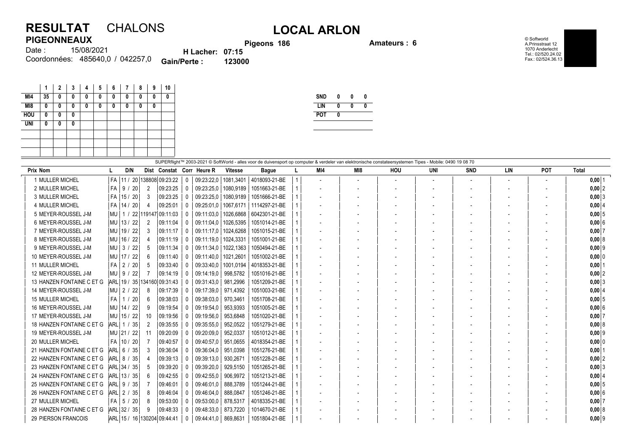## **RESULTAT** CHALONS **LOCAL ARLON PIGEONNEAUX**

**Pigeons 186 Amateurs : 6**

© Softworld A.Prinsstraat 12 1070 Anderlecht Tel.: 02/520.24.02 Fax.: 02/524.36.13

| .      |                                               |                        | <b>Pigeo</b> |
|--------|-----------------------------------------------|------------------------|--------------|
| Date : | 15/08/2021                                    | <b>H</b> Lacher: 07:15 |              |
|        | Coordonnées: 485640,0 / 042257,0 Gain/Perte : |                        | 123000       |

|                 |    | $\mathbf 2$ | 3 | Λ | 5 | 6 | 7 | 8 | 9 | 10                  |  |
|-----------------|----|-------------|---|---|---|---|---|---|---|---------------------|--|
| MI4             | 35 | 0           | 0 | 0 | 0 | 0 | 0 | 0 | 0 | 0                   |  |
| M <sub>18</sub> | 0  | 0           | 0 | n | 0 | 0 | 0 | 0 | 0 |                     |  |
| <b>HOU</b>      | 0  | 0           | 0 |   |   |   |   |   |   |                     |  |
| <b>UNI</b>      | 0  | 0           | 0 |   |   |   |   |   |   |                     |  |
|                 |    |             |   |   |   |   |   |   |   |                     |  |
|                 |    |             |   |   |   |   |   |   |   |                     |  |
|                 |    |             |   |   |   |   |   |   |   |                     |  |
|                 |    |             |   |   |   |   |   |   |   | <b>CLIDEDflight</b> |  |

| <b>SND</b> | 0 | 0 | 0 |
|------------|---|---|---|
| LIN        | Λ | Λ | Λ |
| <b>POT</b> | Λ |   |   |
|            |   |   |   |

|                           | SUPERflight™ 2003-2021 © SoftWorld - alles voor de duivensport op computer & verdeler van elektronische constateersystemen Tipes - Mobile: 0490 19 08 70 |                      |          |              |                           |                |                           |  |     |     |                          |            |            |                          |                          |            |
|---------------------------|----------------------------------------------------------------------------------------------------------------------------------------------------------|----------------------|----------|--------------|---------------------------|----------------|---------------------------|--|-----|-----|--------------------------|------------|------------|--------------------------|--------------------------|------------|
| Prix Nom                  | D/N                                                                                                                                                      |                      |          |              | Dist Constat Corr Heure R | <b>Vitesse</b> | <b>Bague</b>              |  | MI4 | MI8 | <b>HOU</b>               | <b>UNI</b> | <b>SND</b> | LIN                      | POT                      | Total      |
| 1 MULLER MICHEL           | l FA<br>$11 / 20$ 138808 09:23:22                                                                                                                        |                      |          | $\Omega$     | 09:23:22,0                | 1081,3401      | 4018093-21-BE             |  |     |     | $\overline{\phantom{a}}$ |            |            | $\overline{\phantom{a}}$ | $\overline{\phantom{a}}$ | $0,00$ 1   |
| 2 MULLER MICHEL           | l FA<br>  9 /<br>20                                                                                                                                      | 2                    | 09:23:25 | $\mathbf{0}$ | 09:23:25.0                | 1080,9189      | 1051663-21-BE             |  |     |     |                          |            |            |                          | $\overline{\phantom{a}}$ | $0,00$ 2   |
| 3 MULLER MICHEL           | l FA<br>15 / 20                                                                                                                                          | 3                    | 09:23:25 | $\mathbf{0}$ | 09:23:25,0                | 1080,9189      | 1051666-21-BE             |  |     |     |                          |            |            | $\overline{\phantom{a}}$ |                          | $0,00$ 3   |
| 4 MULLER MICHEL           | l FA<br> 14/20                                                                                                                                           |                      | 09:25:01 | $\mathbf{0}$ | 09:25:01.0                |                | 1067,6171   1114297-21-BE |  |     |     |                          |            |            |                          |                          | $0,00$ 4   |
| 5 MEYER-ROUSSEL J-M       | 1 / 22   119147   09:11:03<br>l MU                                                                                                                       |                      |          | $\Omega$     | 09:11:03.0                |                | 1026,6868   6042301-21-BE |  |     |     |                          |            |            |                          |                          | $0,00$ 5   |
| 6 MEYER-ROUSSEL J-M       | 13/22<br>  MU                                                                                                                                            | 2                    | 09:11:04 | $\mathbf{0}$ | 09:11:04.0                | 1026.5395      | 1051014-21-BE             |  |     |     |                          |            |            |                          |                          | $0.00$ 6   |
| 7 MEYER-ROUSSEL J-M       | 19/22<br>  MU                                                                                                                                            | 3                    | 09:11:17 | $\Omega$     | 09:11:17,0   1024,6268    |                | 1051015-21-BE             |  |     |     |                          |            |            |                          |                          | $0,00$ 7   |
| 8 MEYER-ROUSSEL J-M       | MU<br>16/22                                                                                                                                              |                      | 09:11:19 | $\Omega$     | 09:11:19,0                | 1024,3331      | 1051001-21-BE             |  |     |     |                          |            |            |                          |                          | $0,00$ 8   |
| 9 MEYER-ROUSSEL J-M       | 3/<br>22<br>l Mu                                                                                                                                         | 5                    | 09:11:34 | 0            | 09:11:34.0                | 1022.1363      | 1050494-21-BE             |  |     |     |                          |            |            |                          |                          | $0.00$  9  |
| 10 MEYER-ROUSSEL J-M      | MU 17 / 22                                                                                                                                               | 6                    | 09:11:40 | $\Omega$     | 09:11:40,0   1021,2601    |                | 1051002-21-BE             |  |     |     |                          |            |            |                          |                          | $0,00$ 0   |
| <b>11 MULLER MICHEL</b>   | l FA<br>$\frac{2}{2}$<br>20                                                                                                                              | 5                    | 09:33:40 | $\Omega$     | 09:33:40.0                | 1001,0194      | 4018353-21-BE             |  |     |     |                          |            |            |                          |                          | $0,00$   1 |
| 12 MEYER-ROUSSEL J-M      | $MU$ 9 /<br>22                                                                                                                                           |                      | 09:14:19 | 0            | 09:14:19.0                | 998,5782       | 1051016-21-BE             |  |     |     |                          |            |            |                          |                          | $0,00$ 2   |
| 13 HANZEN FONTAINE C ET G | ARL 19 / 35 134160 09:31:43                                                                                                                              |                      |          | $\Omega$     | 09:31:43.0                | 981,2996       | 1051209-21-BE             |  |     |     |                          |            |            |                          |                          | $0,00$ 3   |
| 14 MEYER-ROUSSEL J-M      | $MU$ 2 /<br>22                                                                                                                                           | 8                    | 09:17:39 | $\Omega$     | 09:17:39.0                | 971,4392       | 1051003-21-BE             |  |     |     |                          |            |            |                          |                          | $0,00$ 4   |
| <b>15 MULLER MICHEL</b>   | 20<br>l FA<br>1/                                                                                                                                         | 6                    | 09:38:03 | 0            | 09:38:03.0                | 970,3461       | 1051708-21-BE             |  |     |     |                          |            |            |                          |                          | $0,00$ 5   |
| 16 MEYER-ROUSSEL J-M      | MU 14 / 22                                                                                                                                               | 9                    | 09:19:54 | $\Omega$     | 09:19:54.0                | 953.9393       | 1051005-21-BE             |  |     |     |                          |            |            |                          |                          | $0.00$ 6   |
| 17 MEYER-ROUSSEL J-M      | MU 15 / 22                                                                                                                                               | 10                   | 09:19:56 | 0            | 09:19:56,0                | 953.6848       | 1051020-21-BE             |  |     |     |                          |            |            |                          |                          | $0,00$ 7   |
| 18 HANZEN FONTAINE C ET G | $ARL$ 1 /<br>35                                                                                                                                          | $\mathbf{2}^{\circ}$ | 09:35:55 | $\Omega$     | 09:35:55,0                | 952,0522       | 1051279-21-BE             |  |     |     |                          |            |            |                          |                          | $0,00$ 8   |
| 19 MEYER-ROUSSEL J-M      | MU 21 / 22                                                                                                                                               | 11                   | 09:20:09 | $\Omega$     | 09:20:09,0                | 952,0337       | 1051012-21-BE             |  |     |     |                          |            |            |                          |                          | $0,00$ 9   |
| 20 MULLER MICHEL          | l FA<br>10/20                                                                                                                                            |                      | 09:40:57 | $\Omega$     | 09:40:57,0                | 951,0655       | 4018354-21-BE             |  |     |     |                          |            |            |                          |                          | $0,00$ 0   |
| 21 HANZEN FONTAINE C ET G | $ARL$ 6 /<br>35                                                                                                                                          | 3                    | 09:36:04 | $\Omega$     | 09:36:04.0                | 951,0398       | 1051276-21-BE             |  |     |     |                          |            |            |                          |                          | $0,00$ 1   |
| 22 HANZEN FONTAINE C ET G | ARL 8 / 35                                                                                                                                               |                      | 09:39:13 | $\Omega$     | 09:39:13.0                | 930,267        | 1051228-21-BE             |  |     |     |                          |            |            |                          | $\overline{\phantom{0}}$ | $0,00$ 2   |
| 23 HANZEN FONTAINE C ET G | ARL 34 / 35                                                                                                                                              | 5                    | 09:39:20 | $\Omega$     | 09:39:20,0                | 929,5150       | 1051265-21-BE             |  |     |     |                          |            |            |                          |                          | $0,00$ 3   |
| 24 HANZEN FONTAINE C ET G | ARL 13 / 35                                                                                                                                              | 6                    | 09:42:55 | $\Omega$     | 09:42:55,0                | 906,9972       | 1051213-21-BE             |  |     |     |                          |            |            |                          |                          | $0,00$ 4   |
| 25 HANZEN FONTAINE C ET G | $ARL$   9 /<br>35                                                                                                                                        |                      | 09:46:01 | $\mathbf{0}$ | 09:46:01.0                | 888,3789       | 1051244-21-BE             |  |     |     |                          |            |            |                          |                          | $0,00$ 5   |
| 26 HANZEN FONTAINE C ET G | $ARL$   2 /<br>35                                                                                                                                        | 8                    | 09:46:04 | 0            | 09:46:04.0                | 888.0847       | 1051246-21-BE             |  |     |     |                          |            |            |                          |                          | $0,00$ 6   |
| 27 MULLER MICHEL          | $FA$ 5 /<br>20                                                                                                                                           | 8                    | 09:53:00 | $\mathbf{0}$ | 09:53:00,0                | 878,5317       | 4018335-21-BE             |  |     |     |                          |            |            |                          |                          | $0,00$ 7   |
| 28 HANZEN FONTAINE C ET G | ARL 32 / 35                                                                                                                                              | 9                    | 09:48:33 | $\Omega$     | 09:48:33,0                | 873,7220       | 1014670-21-BE             |  |     |     |                          |            |            |                          |                          | $0,00$ 8   |
| 29 PIERSON FRANCOIS       | ARL 15 / 16 130204 09:44:41                                                                                                                              |                      |          | 0            | 09:44:41.0                | 869,8631       | 1051804-21-BE             |  |     |     |                          |            |            |                          |                          | $0,00$ 9   |